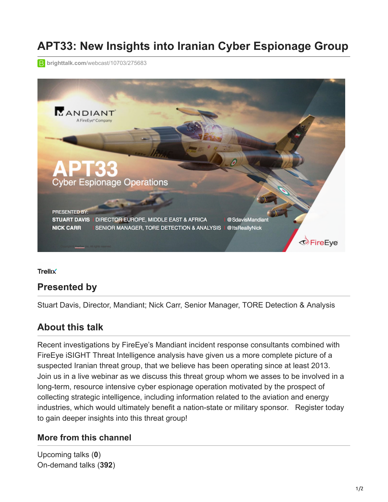# **APT33: New Insights into Iranian Cyber Espionage Group**

**B** brighttalk.com[/webcast/10703/275683](https://www.brighttalk.com/webcast/10703/275683)



**Trellix** 

## **Presented by**

Stuart Davis, Director, Mandiant; Nick Carr, Senior Manager, TORE Detection & Analysis

## **About this talk**

Recent investigations by FireEye's Mandiant incident response consultants combined with FireEye iSIGHT Threat Intelligence analysis have given us a more complete picture of a suspected Iranian threat group, that we believe has been operating since at least 2013. Join us in a live webinar as we discuss this threat group whom we asses to be involved in a long-term, resource intensive cyber espionage operation motivated by the prospect of collecting strategic intelligence, including information related to the aviation and energy industries, which would ultimately benefit a nation-state or military sponsor. Register today to gain deeper insights into this threat group!

#### **More from this channel**

Upcoming talks (**0**) On-demand talks (**392**)